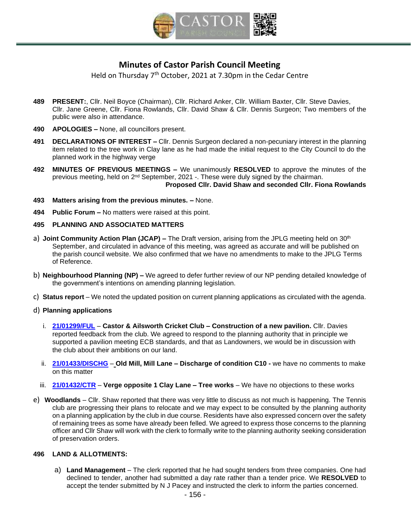

# **Minutes of Castor Parish Council Meeting**

Held on Thursday 7<sup>th</sup> October, 2021 at 7.30pm in the Cedar Centre

- **489 PRESENT:**, Cllr. Neil Boyce (Chairman), Cllr. Richard Anker, Cllr. William Baxter, Cllr. Steve Davies, Cllr. Jane Greene, Cllr. Fiona Rowlands, Cllr. David Shaw & Cllr. Dennis Surgeon; Two members of the public were also in attendance.
- **490 APOLOGIES –** None, all councillors present.
- **491 DECLARATIONS OF INTEREST –** Cllr. Dennis Surgeon declared a non-pecuniary interest in the planning item related to the tree work in Clay lane as he had made the initial request to the City Council to do the planned work in the highway verge
- **492 [MINUTES OF PREVIOUS MEETINGS](https://s3-eu-west-1.amazonaws.com/logs.omnibuilder/598d0297-cee8-4444-906d-0399dbc80ec0/2c221843-6c8c-4409-91b4-588eca7f82e9.pdf) –** We unanimously **RESOLVED** to approve the minutes of the previous meeting, held on 2<sup>nd</sup> September, 2021 -. These were duly signed by the chairman. **Proposed Cllr. David Shaw and seconded Cllr. Fiona Rowlands**
- **493 Matters arising from the previous minutes. –** None.
- **494 Public Forum –** No matters were raised at this point.

#### **495 PLANNING AND ASSOCIATED MATTERS**

- a) **Joint Community Action Plan (JCAP) –** The Draft version, arising from the JPLG meeting held on 30<sup>th</sup> September, and circulated in advance of this meeting, was agreed as accurate and will be published on the parish council website. We also confirmed that we have no amendments to make to the JPLG Terms of Reference.
- b) **Neighbourhood Planning (NP) –** We agreed to defer further review of our NP pending detailed knowledge of the government's intentions on amending planning legislation.
- c) **Status report** We noted the updated position on current planning applications as circulated with the agenda.

#### d) **Planning applications**

- i. **21/01299/FUL Castor & Ailsworth Cricket Club – Construction of a new pavilion.** Cllr. Davies reported feedback from the club. We agreed to respond to the planning authority that in principle we supported a pavilion meeting ECB standards, and that as Landowners, we would be in discussion with the club about their ambitions on our land.
- ii. **21/01433/DISCHG Old Mill, Mill Lane – Discharge of condition C10 -** we have no comments to make on this matter
- iii. **21/01432/CTR Verge opposite 1 Clay Lane – Tree works** We have no objections to these works
- e) **Woodlands** Cllr. Shaw reported that there was very little to discuss as not much is happening. The Tennis club are progressing their plans to relocate and we may expect to be consulted by the planning authority on a planning application by the club in due course. Residents have also expressed concern over the safety of remaining trees as some have already been felled. We agreed to express those concerns to the planning officer and Cllr Shaw will work with the clerk to formally write to the planning authority seeking consideration of preservation orders.

### **496 LAND & ALLOTMENTS:**

a) **Land Management** – The clerk reported that he had sought tenders from three companies. One had declined to tender, another had submitted a day rate rather than a tender price. We **RESOLVED** to accept the tender submitted by N J Pacey and instructed the clerk to inform the parties concerned.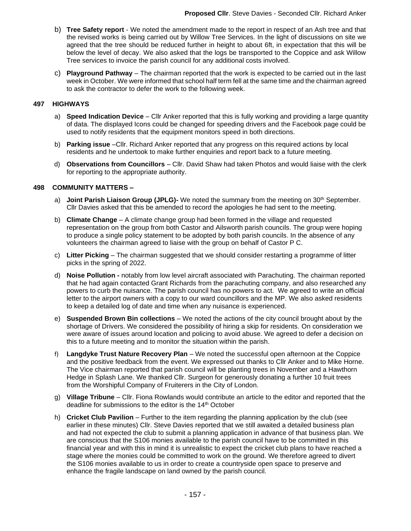- b) **Tree Safety report** We noted the amendment made to the report in respect of an Ash tree and that the revised works is being carried out by Willow Tree Services. In the light of discussions on site we agreed that the tree should be reduced further in height to about 6ft, in expectation that this will be below the level of decay. We also asked that the logs be transported to the Coppice and ask Willow Tree services to invoice the parish council for any additional costs involved.
- c) **Playground Pathway** The chairman reported that the work is expected to be carried out in the last week in October. We were informed that school half term fell at the same time and the chairman agreed to ask the contractor to defer the work to the following week.

### **497 HIGHWAYS**

- a) **Speed Indication Device** Cllr Anker reported that this is fully working and providing a large quantity of data. The displayed Icons could be changed for speeding drivers and the Facebook page could be used to notify residents that the equipment monitors speed in both directions.
- b) **Parking issue** –Cllr. Richard Anker reported that any progress on this required actions by local residents and he undertook to make further enquiries and report back to a future meeting.
- d) **Observations from Councillors** Cllr. David Shaw had taken Photos and would liaise with the clerk for reporting to the appropriate authority.

#### **498 COMMUNITY MATTERS –**

- a) **Joint Parish Liaison Group (JPLG)-** We noted the summary from the meeting on 30<sup>th</sup> September. Cllr Davies asked that this be amended to record the apologies he had sent to the meeting.
- b) **Climate Change** A climate change group had been formed in the village and requested representation on the group from both Castor and Ailsworth parish councils. The group were hoping to produce a single policy statement to be adopted by both parish councils. In the absence of any volunteers the chairman agreed to liaise with the group on behalf of Castor P C.
- c) **Litter Picking** The chairman suggested that we should consider restarting a programme of litter picks in the spring of 2022.
- d) **Noise Pollution -** notably from low level aircraft associated with Parachuting. The chairman reported that he had again contacted Grant Richards from the parachuting company, and also researched any powers to curb the nuisance. The parish council has no powers to act. We agreed to write an official letter to the airport owners with a copy to our ward councillors and the MP. We also asked residents to keep a detailed log of date and time when any nuisance is experienced.
- e) **Suspended Brown Bin collections** We noted the actions of the city council brought about by the shortage of Drivers. We considered the possibility of hiring a skip for residents. On consideration we were aware of issues around location and policing to avoid abuse. We agreed to defer a decision on this to a future meeting and to monitor the situation within the parish.
- f) **Langdyke Trust Nature Recovery Plan** We noted the successful open afternoon at the Coppice and the positive feedback from the event. We expressed out thanks to Cllr Anker and to Mike Horne. The Vice chairman reported that parish council will be planting trees in November and a Hawthorn Hedge in Splash Lane. We thanked Cllr. Surgeon for generously donating a further 10 fruit trees from the Worshipful Company of Fruiterers in the City of London.
- g) **Village Tribune** Cllr. Fiona Rowlands would contribute an article to the editor and reported that the deadline for submissions to the editor is the 14<sup>th</sup> October
- h) **Cricket Club Pavilion** Further to the item regarding the planning application by the club (see earlier in these minutes) Cllr. Steve Davies reported that we still awaited a detailed business plan and had not expected the club to submit a planning application in advance of that business plan. We are conscious that the S106 monies available to the parish council have to be committed in this financial year and with this in mind it is unrealistic to expect the cricket club plans to have reached a stage where the monies could be committed to work on the ground. We therefore agreed to divert the S106 monies available to us in order to create a countryside open space to preserve and enhance the fragile landscape on land owned by the parish council.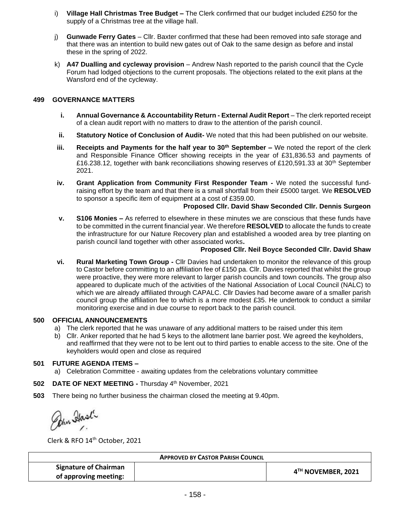- i) **Village Hall Christmas Tree Budget –** The Clerk confirmed that our budget included £250 for the supply of a Christmas tree at the village hall.
- j) **Gunwade Ferry Gates** Cllr. Baxter confirmed that these had been removed into safe storage and that there was an intention to build new gates out of Oak to the same design as before and instal these in the spring of 2022.
- k) **A47 Dualling and cycleway provision** Andrew Nash reported to the parish council that the Cycle Forum had lodged objections to the current proposals. The objections related to the exit plans at the Wansford end of the cycleway.

# **499 GOVERNANCE MATTERS**

- **i. Annual Governance & Accountability Return - External Audit Report** The clerk reported receipt of a clean audit report with no matters to draw to the attention of the parish council.
- **ii. Statutory Notice of Conclusion of Audit-** We noted that this had been published on our website.
- **iii. Receipts and Payments for the half year to 30th September –** We noted the report of the clerk and Responsible Finance Officer showing receipts in the year of £31,836.53 and payments of £16.238.12, together with bank reconciliations showing reserves of £120,591.33 at 30<sup>th</sup> September 2021.
- **iv. Grant Application from Community First Responder Team -** We noted the successful fundraising effort by the team and that there is a small shortfall from their £5000 target. We **RESOLVED** to sponsor a specific item of equipment at a cost of £359.00.

## **Proposed Cllr. David Shaw Seconded Cllr. Dennis Surgeon**

**v. S106 Monies –** As referred to elsewhere in these minutes we are conscious that these funds have to be committed in the current financial year. We therefore **RESOLVED** to allocate the funds to create the infrastructure for our Nature Recovery plan and established a wooded area by tree planting on parish council land together with other associated works**.**

#### **Proposed Cllr. Neil Boyce Seconded Cllr. David Shaw**

**vi. Rural Marketing Town Group -** Cllr Davies had undertaken to monitor the relevance of this group to Castor before committing to an affiliation fee of £150 pa. Cllr. Davies reported that whilst the group were proactive, they were more relevant to larger parish councils and town councils. The group also appeared to duplicate much of the activities of the National Association of Local Council (NALC) to which we are already affiliated through CAPALC. Cllr Davies had become aware of a smaller parish council group the affiliation fee to which is a more modest £35. He undertook to conduct a similar monitoring exercise and in due course to report back to the parish council.

## **500 OFFICIAL ANNOUNCEMENTS**

- a) The clerk reported that he was unaware of any additional matters to be raised under this item
- b) Cllr. Anker reported that he had 5 keys to the allotment lane barrier post. We agreed the keyholders, and reaffirmed that they were not to be lent out to third parties to enable access to the site. One of the keyholders would open and close as required

## **501 FUTURE AGENDA ITEMS –**

a) Celebration Committee - awaiting updates from the celebrations voluntary committee

# 502 DATE OF NEXT MEETING - Thursday 4<sup>th</sup> November, 2021

**503** There being no further business the chairman closed the meeting at 9.40pm.

Pohn Stast

Clerk & RFO 14 th October, 2021

| <b>APPROVED BY CASTOR PARISH COUNCIL</b> |  |                    |
|------------------------------------------|--|--------------------|
| <b>Signature of Chairman</b>             |  | 4TH NOVEMBER, 2021 |
| of approving meeting:                    |  |                    |